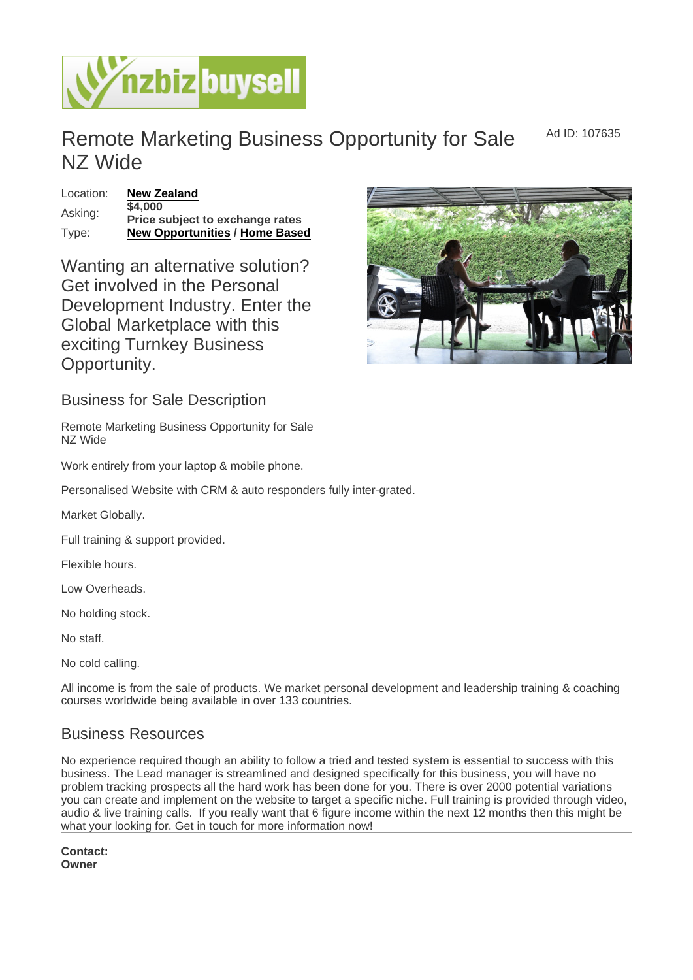Remote Marketing Business Opportunity for Sale NZ Wide

Location: [New Zealand](https://www.nzbizbuysell.co.nz/businesses-for-sale/location/New-Zealand) Asking: \$4,000 Price subject to exchange rates Type: [New Opportunities](https://www.nzbizbuysell.co.nz/businesses-for-sale/New-Opportunities/New-Zealand) / [Home Based](https://www.nzbizbuysell.co.nz/businesses-for-sale/Home-Based/New-Zealand)

Wanting an alternative solution? Get involved in the Personal Development Industry. Enter the Global Marketplace with this exciting Turnkey Business Opportunity.

Business for Sale Description

Remote Marketing Business Opportunity for Sale NZ Wide

Work entirely from your laptop & mobile phone.

Personalised Website with CRM & auto responders fully inter-grated.

Market Globally.

Full training & support provided.

Flexible hours.

Low Overheads.

No holding stock.

No staff.

No cold calling.

All income is from the sale of products. We market personal development and leadership training & coaching courses worldwide being available in over 133 countries.

## Business Resources

No experience required though an ability to follow a tried and tested system is essential to success with this business. The Lead manager is streamlined and designed specifically for this business, you will have no problem tracking prospects all the hard work has been done for you. There is over 2000 potential variations you can create and implement on the website to target a specific niche. Full training is provided through video, audio & live training calls. If you really want that 6 figure income within the next 12 months then this might be what your looking for. Get in touch for more information now!

Contact: Owner